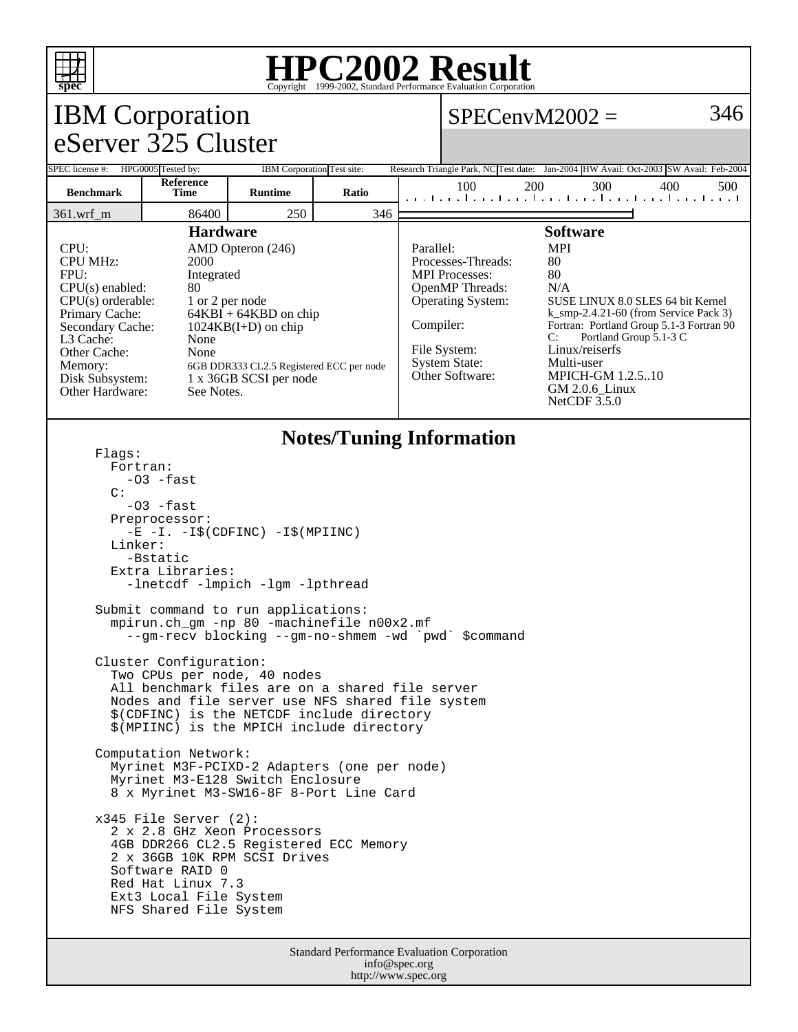

## **HPC2002 Result**

| <b>IBM</b> Corporation                                                                                                                                                                                                                                                                                                                                                                                                                       |                   |                |       |  | 346<br>$SPECenvM2002 =$                                                                                                                                                                                                                                                                                                                                                                                                                                                                 |     |     |     |     |
|----------------------------------------------------------------------------------------------------------------------------------------------------------------------------------------------------------------------------------------------------------------------------------------------------------------------------------------------------------------------------------------------------------------------------------------------|-------------------|----------------|-------|--|-----------------------------------------------------------------------------------------------------------------------------------------------------------------------------------------------------------------------------------------------------------------------------------------------------------------------------------------------------------------------------------------------------------------------------------------------------------------------------------------|-----|-----|-----|-----|
| eServer 325 Cluster                                                                                                                                                                                                                                                                                                                                                                                                                          |                   |                |       |  |                                                                                                                                                                                                                                                                                                                                                                                                                                                                                         |     |     |     |     |
| SPEC license #: HPG0005 Tested by:<br>IBM Corporation Test site:                                                                                                                                                                                                                                                                                                                                                                             |                   |                |       |  | Research Triangle Park, NC Test date: Jan-2004 HW Avail: Oct-2003 SW Avail: Feb-2004                                                                                                                                                                                                                                                                                                                                                                                                    |     |     |     |     |
| <b>Benchmark</b>                                                                                                                                                                                                                                                                                                                                                                                                                             | Reference<br>Time | <b>Runtime</b> | Ratio |  | 100<br>المتما وتواجبوا وتواجدوا وتواجدوا وتواجزوا وتراجع                                                                                                                                                                                                                                                                                                                                                                                                                                | 200 | 300 | 400 | 500 |
| 86400<br>250<br>346<br>$361.wrf_m$                                                                                                                                                                                                                                                                                                                                                                                                           |                   |                |       |  |                                                                                                                                                                                                                                                                                                                                                                                                                                                                                         |     |     |     |     |
| <b>Hardware</b><br>CPU:<br>AMD Opteron (246)<br><b>CPU MHz:</b><br>2000<br>FPU:<br>Integrated<br>CPU(s) enabled:<br>80<br>$CPU(s)$ orderable:<br>1 or 2 per node<br>Primary Cache:<br>$64KBI + 64KBD$ on chip<br>Secondary Cache:<br>$1024KB(I+D)$ on chip<br>L3 Cache:<br>None<br>Other Cache:<br>None<br>Memory:<br>6GB DDR333 CL2.5 Registered ECC per node<br>Disk Subsystem:<br>1 x 36GB SCSI per node<br>Other Hardware:<br>See Notes. |                   |                |       |  | <b>Software</b><br><b>MPI</b><br>Parallel:<br>80<br>Processes-Threads:<br><b>MPI</b> Processes:<br>80<br>OpenMP Threads:<br>N/A<br>Operating System:<br>SUSE LINUX 8.0 SLES 64 bit Kernel<br>$k$ _smp-2.4.21-60 (from Service Pack 3)<br>Compiler:<br>Fortran: Portland Group 5.1-3 Fortran 90<br>Portland Group 5.1-3 C<br>C:<br>File System:<br>Linux/reiserfs<br>Multi-user<br><b>System State:</b><br>Other Software:<br><b>MPICH-GM 1.2.5.10</b><br>GM 2.0.6_Linux<br>NetCDF 3.5.0 |     |     |     |     |
| <b>Notes/Tuning Information</b><br>Flaqs:<br>Fortran:<br>-03 -fast<br>$\mathcal{C}$ :<br>-03 -fast<br>Preprocessor:<br>$-E$ $-I. -I\$ (CDFINC) $-I\$ (MPIINC)<br>Linker:<br>-Bstatic<br>Extra Libraries:                                                                                                                                                                                                                                     |                   |                |       |  |                                                                                                                                                                                                                                                                                                                                                                                                                                                                                         |     |     |     |     |
| -lnetcdf -lmpich -lgm -lpthread<br>Submit command to run applications:<br>mpirun.ch_gm -np 80 -machinefile n00x2.mf<br>--gm-recv blocking --gm-no-shmem -wd `pwd` \$command                                                                                                                                                                                                                                                                  |                   |                |       |  |                                                                                                                                                                                                                                                                                                                                                                                                                                                                                         |     |     |     |     |
| Cluster Configuration:<br>Two CPUs per node, 40 nodes<br>All benchmark files are on a shared file server<br>Nodes and file server use NFS shared file system<br>\$(CDFINC) is the NETCDF include directory<br>\$(MPIINC) is the MPICH include directory                                                                                                                                                                                      |                   |                |       |  |                                                                                                                                                                                                                                                                                                                                                                                                                                                                                         |     |     |     |     |
| Computation Network:<br>Myrinet M3F-PCIXD-2 Adapters (one per node)<br>Myrinet M3-E128 Switch Enclosure<br>8 x Myrinet M3-SW16-8F 8-Port Line Card                                                                                                                                                                                                                                                                                           |                   |                |       |  |                                                                                                                                                                                                                                                                                                                                                                                                                                                                                         |     |     |     |     |
| $x345$ File Server $(2)$ :<br>2 x 2.8 GHz Xeon Processors<br>4GB DDR266 CL2.5 Registered ECC Memory<br>2 x 36GB 10K RPM SCSI Drives<br>Software RAID 0<br>Red Hat Linux 7.3<br>Ext3 Local File System<br>NFS Shared File System                                                                                                                                                                                                              |                   |                |       |  |                                                                                                                                                                                                                                                                                                                                                                                                                                                                                         |     |     |     |     |
| Standard Performance Evaluation Corporation                                                                                                                                                                                                                                                                                                                                                                                                  |                   |                |       |  |                                                                                                                                                                                                                                                                                                                                                                                                                                                                                         |     |     |     |     |

info@spec.org http://www.spec.org